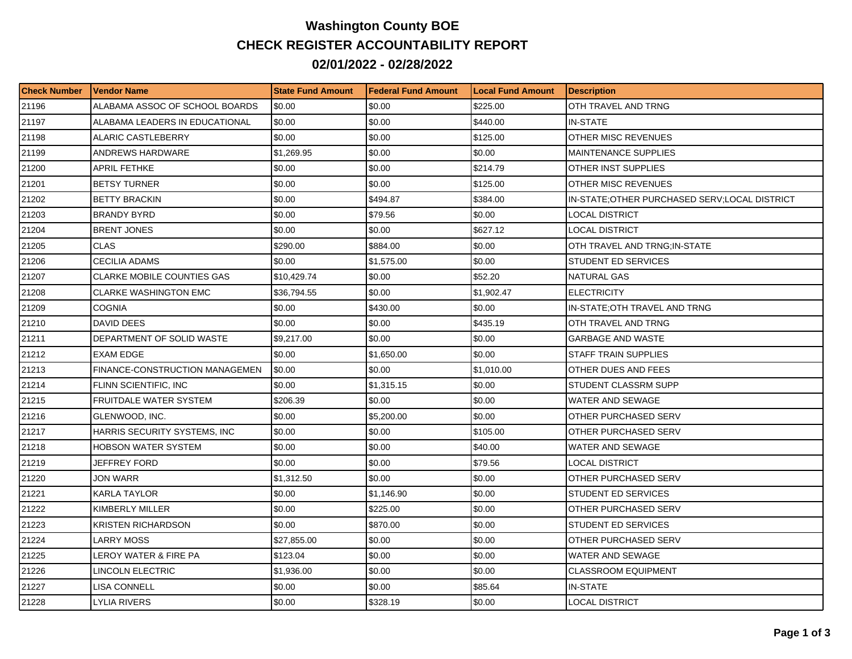## **Washington County BOE CHECK REGISTER ACCOUNTABILITY REPORT 02/01/2022 - 02/28/2022**

| <b>Check Number</b> | l Vendor Name                         | <b>State Fund Amount</b> | l Federal Fund Amount | <b>ILocal Fund Amount</b> | <b>Description</b>                             |
|---------------------|---------------------------------------|--------------------------|-----------------------|---------------------------|------------------------------------------------|
| 21196               | ALABAMA ASSOC OF SCHOOL BOARDS        | \$0.00                   | \$0.00                | \$225.00                  | OTH TRAVEL AND TRNG                            |
| 21197               | ALABAMA LEADERS IN EDUCATIONAL        | \$0.00                   | \$0.00                | \$440.00                  | <b>IN-STATE</b>                                |
| 21198               | <b>ALARIC CASTLEBERRY</b>             | \$0.00                   | \$0.00                | \$125.00                  | OTHER MISC REVENUES                            |
| 21199               | ANDREWS HARDWARE                      | \$1,269.95               | \$0.00                | \$0.00                    | <b>MAINTENANCE SUPPLIES</b>                    |
| 21200               | APRIL FETHKE                          | \$0.00                   | \$0.00                | \$214.79                  | OTHER INST SUPPLIES                            |
| 21201               | <b>BETSY TURNER</b>                   | \$0.00                   | \$0.00                | \$125.00                  | OTHER MISC REVENUES                            |
| 21202               | <b>BETTY BRACKIN</b>                  | \$0.00                   | \$494.87              | \$384.00                  | IN-STATE; OTHER PURCHASED SERV; LOCAL DISTRICT |
| 21203               | <b>BRANDY BYRD</b>                    | \$0.00                   | \$79.56               | \$0.00                    | LOCAL DISTRICT                                 |
| 21204               | <b>BRENT JONES</b>                    | \$0.00                   | \$0.00                | \$627.12                  | LOCAL DISTRICT                                 |
| 21205               | <b>CLAS</b>                           | \$290.00                 | \$884.00              | \$0.00                    | OTH TRAVEL AND TRNG;IN-STATE                   |
| 21206               | CECILIA ADAMS                         | \$0.00                   | \$1,575.00            | \$0.00                    | STUDENT ED SERVICES                            |
| 21207               | CLARKE MOBILE COUNTIES GAS            | \$10,429.74              | \$0.00                | \$52.20                   | <b>NATURAL GAS</b>                             |
| 21208               | <b>CLARKE WASHINGTON EMC</b>          | \$36,794.55              | \$0.00                | \$1,902.47                | <b>ELECTRICITY</b>                             |
| 21209               | <b>COGNIA</b>                         | \$0.00                   | \$430.00              | \$0.00                    | IN-STATE; OTH TRAVEL AND TRNG                  |
| 21210               | DAVID DEES                            | \$0.00                   | \$0.00                | \$435.19                  | OTH TRAVEL AND TRNG                            |
| 21211               | DEPARTMENT OF SOLID WASTE             | \$9,217.00               | \$0.00                | \$0.00                    | <b>GARBAGE AND WASTE</b>                       |
| 21212               | <b>EXAM EDGE</b>                      | \$0.00                   | \$1,650.00            | \$0.00                    | <b>STAFF TRAIN SUPPLIES</b>                    |
| 21213               | <b>FINANCE-CONSTRUCTION MANAGEMEN</b> | \$0.00                   | \$0.00                | \$1.010.00                | OTHER DUES AND FEES                            |
| 21214               | FLINN SCIENTIFIC, INC                 | \$0.00                   | \$1,315.15            | \$0.00                    | STUDENT CLASSRM SUPP                           |
| 21215               | <b>FRUITDALE WATER SYSTEM</b>         | \$206.39                 | \$0.00                | \$0.00                    | WATER AND SEWAGE                               |
| 21216               | GLENWOOD, INC.                        | \$0.00                   | \$5,200.00            | \$0.00                    | OTHER PURCHASED SERV                           |
| 21217               | HARRIS SECURITY SYSTEMS, INC          | \$0.00                   | \$0.00                | \$105.00                  | OTHER PURCHASED SERV                           |
| 21218               | <b>HOBSON WATER SYSTEM</b>            | \$0.00                   | \$0.00                | \$40.00                   | WATER AND SEWAGE                               |
| 21219               | JEFFREY FORD                          | \$0.00                   | \$0.00                | \$79.56                   | LOCAL DISTRICT                                 |
| 21220               | <b>JON WARR</b>                       | \$1,312.50               | \$0.00                | \$0.00                    | OTHER PURCHASED SERV                           |
| 21221               | <b>KARLA TAYLOR</b>                   | \$0.00                   | \$1,146.90            | \$0.00                    | <b>STUDENT ED SERVICES</b>                     |
| 21222               | KIMBERLY MILLER                       | \$0.00                   | \$225.00              | \$0.00                    | OTHER PURCHASED SERV                           |
| 21223               | <b>KRISTEN RICHARDSON</b>             | \$0.00                   | \$870.00              | \$0.00                    | STUDENT ED SERVICES                            |
| 21224               | <b>LARRY MOSS</b>                     | \$27,855.00              | \$0.00                | \$0.00                    | OTHER PURCHASED SERV                           |
| 21225               | LEROY WATER & FIRE PA                 | \$123.04                 | \$0.00                | \$0.00                    | <b>WATER AND SEWAGE</b>                        |
| 21226               | LINCOLN ELECTRIC                      | \$1,936.00               | \$0.00                | \$0.00                    | <b>CLASSROOM EQUIPMENT</b>                     |
| 21227               | LISA CONNELL                          | \$0.00                   | \$0.00                | \$85.64                   | IN-STATE                                       |
| 21228               | LYLIA RIVERS                          | \$0.00                   | \$328.19              | \$0.00                    | <b>LOCAL DISTRICT</b>                          |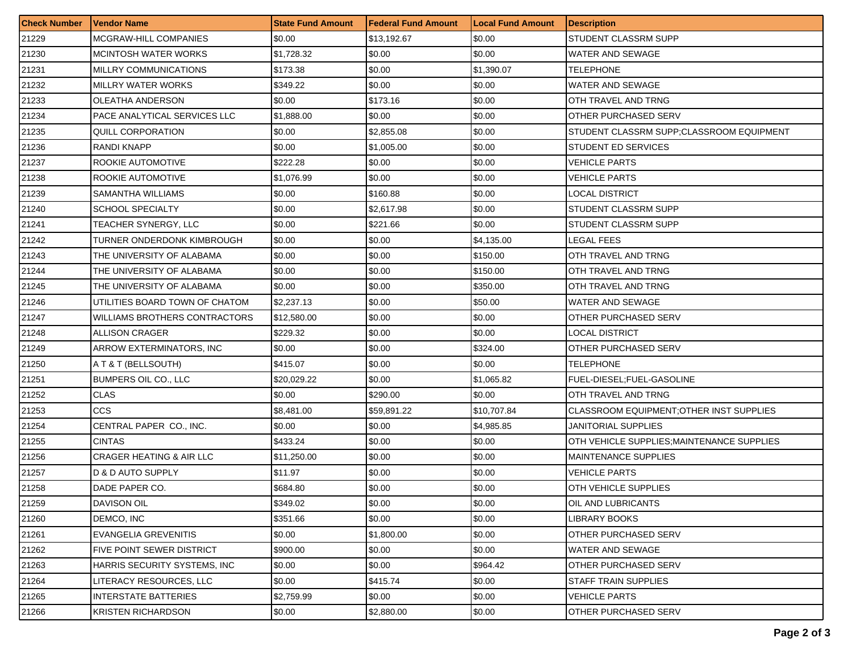| <b>Check Number</b> | <b>Vendor Name</b>                  | <b>State Fund Amount</b> | <b>Federal Fund Amount</b> | <b>Local Fund Amount</b> | <b>Description</b>                         |
|---------------------|-------------------------------------|--------------------------|----------------------------|--------------------------|--------------------------------------------|
| 21229               | MCGRAW-HILL COMPANIES               | \$0.00                   | \$13,192.67                | \$0.00                   | STUDENT CLASSRM SUPP                       |
| 21230               | MCINTOSH WATER WORKS                | \$1,728.32               | \$0.00                     | \$0.00                   | WATER AND SEWAGE                           |
| 21231               | MILLRY COMMUNICATIONS               | \$173.38                 | \$0.00                     | \$1,390.07               | TELEPHONE                                  |
| 21232               | MILLRY WATER WORKS                  | \$349.22                 | \$0.00                     | \$0.00                   | <b>WATER AND SEWAGE</b>                    |
| 21233               | OLEATHA ANDERSON                    | \$0.00                   | \$173.16                   | \$0.00                   | OTH TRAVEL AND TRNG                        |
| 21234               | PACE ANALYTICAL SERVICES LLC        | \$1,888.00               | \$0.00                     | \$0.00                   | OTHER PURCHASED SERV                       |
| 21235               | QUILL CORPORATION                   | \$0.00                   | \$2,855.08                 | \$0.00                   | STUDENT CLASSRM SUPP;CLASSROOM EQUIPMENT   |
| 21236               | RANDI KNAPP                         | \$0.00                   | \$1,005.00                 | \$0.00                   | STUDENT ED SERVICES                        |
| 21237               | <b>ROOKIE AUTOMOTIVE</b>            | \$222.28                 | \$0.00                     | \$0.00                   | <b>VEHICLE PARTS</b>                       |
| 21238               | ROOKIE AUTOMOTIVE                   | \$1,076.99               | \$0.00                     | \$0.00                   | VEHICLE PARTS                              |
| 21239               | SAMANTHA WILLIAMS                   | \$0.00                   | \$160.88                   | \$0.00                   | LOCAL DISTRICT                             |
| 21240               | <b>SCHOOL SPECIALTY</b>             | \$0.00                   | \$2,617.98                 | \$0.00                   | STUDENT CLASSRM SUPP                       |
| 21241               | TEACHER SYNERGY, LLC                | \$0.00                   | \$221.66                   | \$0.00                   | STUDENT CLASSRM SUPP                       |
| 21242               | TURNER ONDERDONK KIMBROUGH          | \$0.00                   | \$0.00                     | \$4,135.00               | LEGAL FEES                                 |
| 21243               | THE UNIVERSITY OF ALABAMA           | \$0.00                   | \$0.00                     | \$150.00                 | OTH TRAVEL AND TRNG                        |
| 21244               | THE UNIVERSITY OF ALABAMA           | \$0.00                   | \$0.00                     | \$150.00                 | OTH TRAVEL AND TRNG                        |
| 21245               | THE UNIVERSITY OF ALABAMA           | \$0.00                   | \$0.00                     | \$350.00                 | OTH TRAVEL AND TRNG                        |
| 21246               | UTILITIES BOARD TOWN OF CHATOM      | \$2,237.13               | \$0.00                     | \$50.00                  | WATER AND SEWAGE                           |
| 21247               | WILLIAMS BROTHERS CONTRACTORS       | \$12,580.00              | \$0.00                     | \$0.00                   | OTHER PURCHASED SERV                       |
| 21248               | <b>ALLISON CRAGER</b>               | \$229.32                 | \$0.00                     | \$0.00                   | LOCAL DISTRICT                             |
| 21249               | ARROW EXTERMINATORS, INC.           | \$0.00                   | \$0.00                     | \$324.00                 | OTHER PURCHASED SERV                       |
| 21250               | A T & T (BELLSOUTH)                 | \$415.07                 | \$0.00                     | \$0.00                   | TELEPHONE                                  |
| 21251               | <b>BUMPERS OIL CO., LLC</b>         | \$20,029.22              | \$0.00                     | \$1,065.82               | FUEL-DIESEL;FUEL-GASOLINE                  |
| 21252               | <b>CLAS</b>                         | \$0.00                   | \$290.00                   | \$0.00                   | OTH TRAVEL AND TRNG                        |
| 21253               | <b>CCS</b>                          | \$8,481.00               | \$59,891.22                | \$10,707.84              | CLASSROOM EQUIPMENT; OTHER INST SUPPLIES   |
| 21254               | CENTRAL PAPER CO., INC.             | \$0.00                   | \$0.00                     | \$4,985.85               | JANITORIAL SUPPLIES                        |
| 21255               | <b>CINTAS</b>                       | \$433.24                 | \$0.00                     | \$0.00                   | OTH VEHICLE SUPPLIES; MAINTENANCE SUPPLIES |
| 21256               | <b>CRAGER HEATING &amp; AIR LLC</b> | \$11,250.00              | \$0.00                     | \$0.00                   | <b>MAINTENANCE SUPPLIES</b>                |
| 21257               | D & D AUTO SUPPLY                   | \$11.97                  | \$0.00                     | \$0.00                   | VEHICLE PARTS                              |
| 21258               | DADE PAPER CO.                      | \$684.80                 | \$0.00                     | \$0.00                   | OTH VEHICLE SUPPLIES                       |
| 21259               | <b>DAVISON OIL</b>                  | \$349.02                 | $\$0.00$                   | \$0.00                   | <b>IOIL AND LUBRICANTS</b>                 |
| 21260               | DEMCO, INC                          | \$351.66                 | \$0.00                     | \$0.00                   | <b>LIBRARY BOOKS</b>                       |
| 21261               | <b>EVANGELIA GREVENITIS</b>         | \$0.00                   | \$1,800.00                 | \$0.00                   | OTHER PURCHASED SERV                       |
| 21262               | FIVE POINT SEWER DISTRICT           | \$900.00                 | \$0.00                     | \$0.00                   | <b>WATER AND SEWAGE</b>                    |
| 21263               | HARRIS SECURITY SYSTEMS, INC        | \$0.00                   | \$0.00                     | \$964.42                 | OTHER PURCHASED SERV                       |
| 21264               | LITERACY RESOURCES, LLC             | \$0.00                   | \$415.74                   | \$0.00                   | <b>STAFF TRAIN SUPPLIES</b>                |
| 21265               | <b>INTERSTATE BATTERIES</b>         | \$2,759.99               | \$0.00                     | \$0.00                   | <b>VEHICLE PARTS</b>                       |
| 21266               | <b>KRISTEN RICHARDSON</b>           | \$0.00                   | \$2,880.00                 | \$0.00                   | OTHER PURCHASED SERV                       |